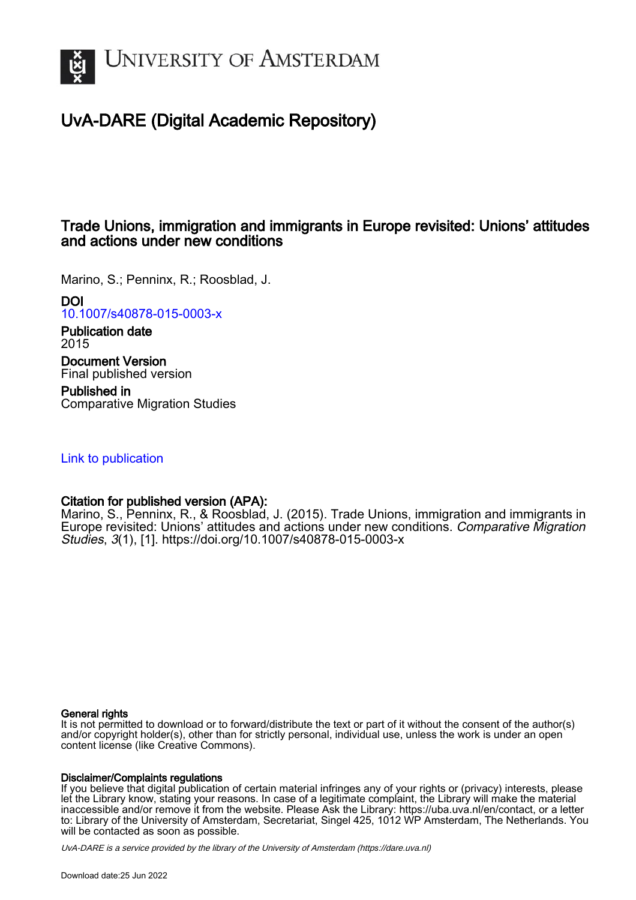

## UvA-DARE (Digital Academic Repository)

## Trade Unions, immigration and immigrants in Europe revisited: Unions' attitudes and actions under new conditions

Marino, S.; Penninx, R.; Roosblad, J.

DOI

[10.1007/s40878-015-0003-x](https://doi.org/10.1007/s40878-015-0003-x)

Publication date 2015

Document Version Final published version

Published in Comparative Migration Studies

## [Link to publication](https://dare.uva.nl/personal/pure/en/publications/trade-unions-immigration-and-immigrants-in-europe-revisited-unions-attitudes-and-actions-under-new-conditions(81236daa-b463-41a8-9132-6b0d22fc394b).html)

## Citation for published version (APA):

Marino, S., Penninx, R., & Roosblad, J. (2015). Trade Unions, immigration and immigrants in Europe revisited: Unions' attitudes and actions under new conditions. Comparative Migration Studies, 3(1), [1]. <https://doi.org/10.1007/s40878-015-0003-x>

## General rights

It is not permitted to download or to forward/distribute the text or part of it without the consent of the author(s) and/or copyright holder(s), other than for strictly personal, individual use, unless the work is under an open content license (like Creative Commons).

## Disclaimer/Complaints regulations

If you believe that digital publication of certain material infringes any of your rights or (privacy) interests, please let the Library know, stating your reasons. In case of a legitimate complaint, the Library will make the material inaccessible and/or remove it from the website. Please Ask the Library: https://uba.uva.nl/en/contact, or a letter to: Library of the University of Amsterdam, Secretariat, Singel 425, 1012 WP Amsterdam, The Netherlands. You will be contacted as soon as possible.

UvA-DARE is a service provided by the library of the University of Amsterdam (http*s*://dare.uva.nl)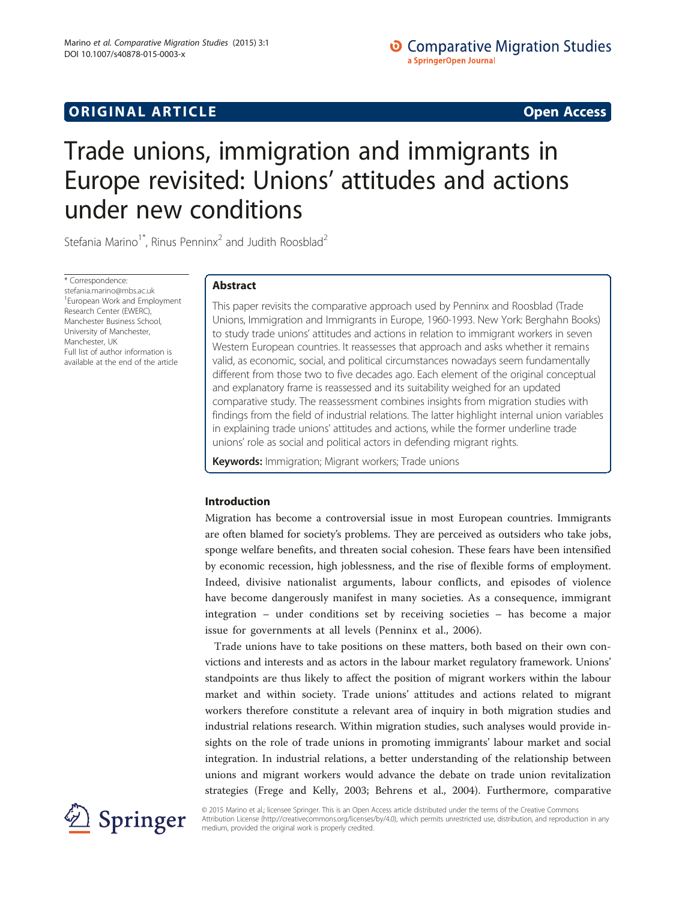## **ORIGINAL ARTICLE CONSUMING A LIGACION** CONSUMING A LIGACION CONSUMING A LIGACION CONSUMING A LIGACION CONSUMING A LIGACION CONSUMING A LIGACION CONSUMING A LIGACION CONSUMING A LIGACION CONSUMING A LIGACION CONSUMING A

# Trade unions, immigration and immigrants in Europe revisited: Unions' attitudes and actions under new conditions

Stefania Marino<sup>1\*</sup>, Rinus Penninx<sup>2</sup> and Judith Roosblad<sup>2</sup>

\* Correspondence: [stefania.marino@mbs.ac.uk](mailto:stefania.marino@mbs.ac.uk) 1 European Work and Employment Research Center (EWERC), Manchester Business School, University of Manchester, Manchester, UK Full list of author information is available at the end of the article

## Abstract

This paper revisits the comparative approach used by Penninx and Roosblad (Trade Unions, Immigration and Immigrants in Europe, 1960-1993. New York: Berghahn Books) to study trade unions' attitudes and actions in relation to immigrant workers in seven Western European countries. It reassesses that approach and asks whether it remains valid, as economic, social, and political circumstances nowadays seem fundamentally different from those two to five decades ago. Each element of the original conceptual and explanatory frame is reassessed and its suitability weighed for an updated comparative study. The reassessment combines insights from migration studies with findings from the field of industrial relations. The latter highlight internal union variables in explaining trade unions' attitudes and actions, while the former underline trade unions' role as social and political actors in defending migrant rights.

**Keywords:** Immigration; Migrant workers; Trade unions

## Introduction

Migration has become a controversial issue in most European countries. Immigrants are often blamed for society's problems. They are perceived as outsiders who take jobs, sponge welfare benefits, and threaten social cohesion. These fears have been intensified by economic recession, high joblessness, and the rise of flexible forms of employment. Indeed, divisive nationalist arguments, labour conflicts, and episodes of violence have become dangerously manifest in many societies. As a consequence, immigrant integration – under conditions set by receiving societies – has become a major issue for governments at all levels (Penninx et al., [2006](#page-16-0)).

Trade unions have to take positions on these matters, both based on their own convictions and interests and as actors in the labour market regulatory framework. Unions' standpoints are thus likely to affect the position of migrant workers within the labour market and within society. Trade unions' attitudes and actions related to migrant workers therefore constitute a relevant area of inquiry in both migration studies and industrial relations research. Within migration studies, such analyses would provide insights on the role of trade unions in promoting immigrants' labour market and social integration. In industrial relations, a better understanding of the relationship between unions and migrant workers would advance the debate on trade union revitalization strategies (Frege and Kelly, [2003](#page-15-0); Behrens et al., [2004](#page-14-0)). Furthermore, comparative



© 2015 Marino et al.; licensee Springer. This is an Open Access article distributed under the terms of the Creative Commons Attribution License [\(http://creativecommons.org/licenses/by/4.0\)](http://creativecommons.org/licenses/by/4.0), which permits unrestricted use, distribution, and reproduction in any medium, provided the original work is properly credited.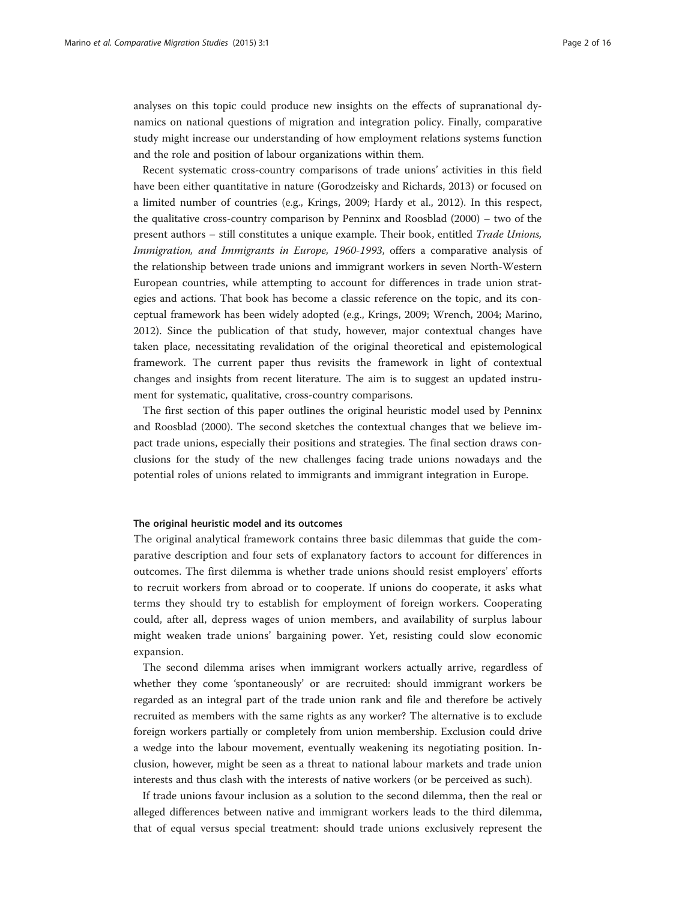analyses on this topic could produce new insights on the effects of supranational dynamics on national questions of migration and integration policy. Finally, comparative study might increase our understanding of how employment relations systems function and the role and position of labour organizations within them.

Recent systematic cross-country comparisons of trade unions' activities in this field have been either quantitative in nature (Gorodzeisky and Richards, [2013\)](#page-15-0) or focused on a limited number of countries (e.g., Krings, [2009;](#page-15-0) Hardy et al., [2012](#page-15-0)). In this respect, the qualitative cross-country comparison by Penninx and Roosblad [\(2000\)](#page-16-0) – two of the present authors – still constitutes a unique example. Their book, entitled Trade Unions, Immigration, and Immigrants in Europe, 1960-1993, offers a comparative analysis of the relationship between trade unions and immigrant workers in seven North-Western European countries, while attempting to account for differences in trade union strategies and actions. That book has become a classic reference on the topic, and its conceptual framework has been widely adopted (e.g., Krings, [2009](#page-15-0); Wrench, [2004;](#page-16-0) Marino, [2012](#page-15-0)). Since the publication of that study, however, major contextual changes have taken place, necessitating revalidation of the original theoretical and epistemological framework. The current paper thus revisits the framework in light of contextual changes and insights from recent literature. The aim is to suggest an updated instrument for systematic, qualitative, cross-country comparisons.

The first section of this paper outlines the original heuristic model used by Penninx and Roosblad [\(2000\)](#page-16-0). The second sketches the contextual changes that we believe impact trade unions, especially their positions and strategies. The final section draws conclusions for the study of the new challenges facing trade unions nowadays and the potential roles of unions related to immigrants and immigrant integration in Europe.

#### The original heuristic model and its outcomes

The original analytical framework contains three basic dilemmas that guide the comparative description and four sets of explanatory factors to account for differences in outcomes. The first dilemma is whether trade unions should resist employers' efforts to recruit workers from abroad or to cooperate. If unions do cooperate, it asks what terms they should try to establish for employment of foreign workers. Cooperating could, after all, depress wages of union members, and availability of surplus labour might weaken trade unions' bargaining power. Yet, resisting could slow economic expansion.

The second dilemma arises when immigrant workers actually arrive, regardless of whether they come 'spontaneously' or are recruited: should immigrant workers be regarded as an integral part of the trade union rank and file and therefore be actively recruited as members with the same rights as any worker? The alternative is to exclude foreign workers partially or completely from union membership. Exclusion could drive a wedge into the labour movement, eventually weakening its negotiating position. Inclusion, however, might be seen as a threat to national labour markets and trade union interests and thus clash with the interests of native workers (or be perceived as such).

If trade unions favour inclusion as a solution to the second dilemma, then the real or alleged differences between native and immigrant workers leads to the third dilemma, that of equal versus special treatment: should trade unions exclusively represent the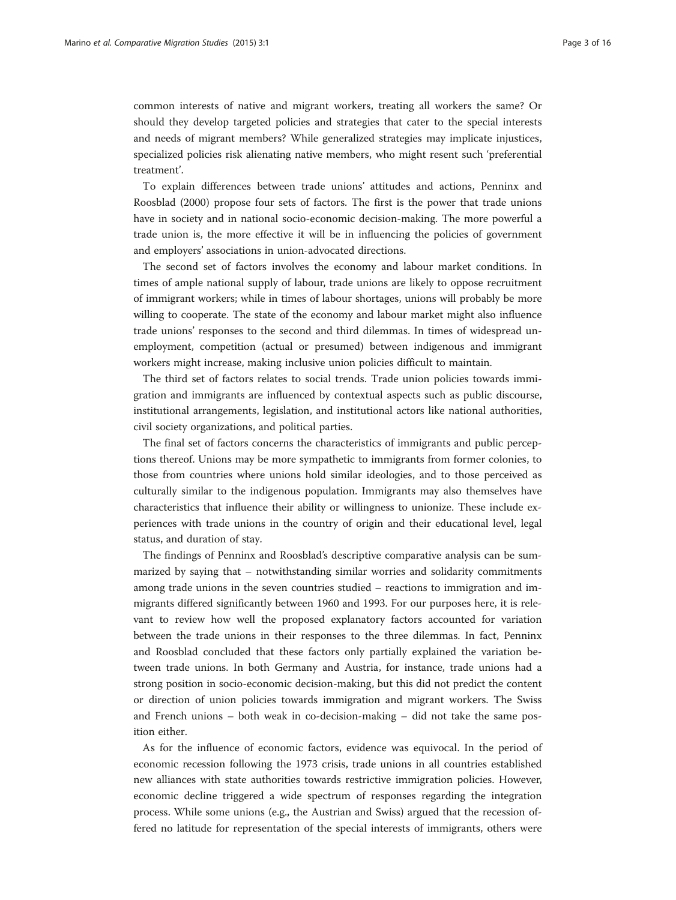common interests of native and migrant workers, treating all workers the same? Or should they develop targeted policies and strategies that cater to the special interests and needs of migrant members? While generalized strategies may implicate injustices, specialized policies risk alienating native members, who might resent such 'preferential treatment'.

To explain differences between trade unions' attitudes and actions, Penninx and Roosblad ([2000\)](#page-16-0) propose four sets of factors. The first is the power that trade unions have in society and in national socio-economic decision-making. The more powerful a trade union is, the more effective it will be in influencing the policies of government and employers' associations in union-advocated directions.

The second set of factors involves the economy and labour market conditions. In times of ample national supply of labour, trade unions are likely to oppose recruitment of immigrant workers; while in times of labour shortages, unions will probably be more willing to cooperate. The state of the economy and labour market might also influence trade unions' responses to the second and third dilemmas. In times of widespread unemployment, competition (actual or presumed) between indigenous and immigrant workers might increase, making inclusive union policies difficult to maintain.

The third set of factors relates to social trends. Trade union policies towards immigration and immigrants are influenced by contextual aspects such as public discourse, institutional arrangements, legislation, and institutional actors like national authorities, civil society organizations, and political parties.

The final set of factors concerns the characteristics of immigrants and public perceptions thereof. Unions may be more sympathetic to immigrants from former colonies, to those from countries where unions hold similar ideologies, and to those perceived as culturally similar to the indigenous population. Immigrants may also themselves have characteristics that influence their ability or willingness to unionize. These include experiences with trade unions in the country of origin and their educational level, legal status, and duration of stay.

The findings of Penninx and Roosblad's descriptive comparative analysis can be summarized by saying that – notwithstanding similar worries and solidarity commitments among trade unions in the seven countries studied – reactions to immigration and immigrants differed significantly between 1960 and 1993. For our purposes here, it is relevant to review how well the proposed explanatory factors accounted for variation between the trade unions in their responses to the three dilemmas. In fact, Penninx and Roosblad concluded that these factors only partially explained the variation between trade unions. In both Germany and Austria, for instance, trade unions had a strong position in socio-economic decision-making, but this did not predict the content or direction of union policies towards immigration and migrant workers. The Swiss and French unions – both weak in co-decision-making – did not take the same position either.

As for the influence of economic factors, evidence was equivocal. In the period of economic recession following the 1973 crisis, trade unions in all countries established new alliances with state authorities towards restrictive immigration policies. However, economic decline triggered a wide spectrum of responses regarding the integration process. While some unions (e.g., the Austrian and Swiss) argued that the recession offered no latitude for representation of the special interests of immigrants, others were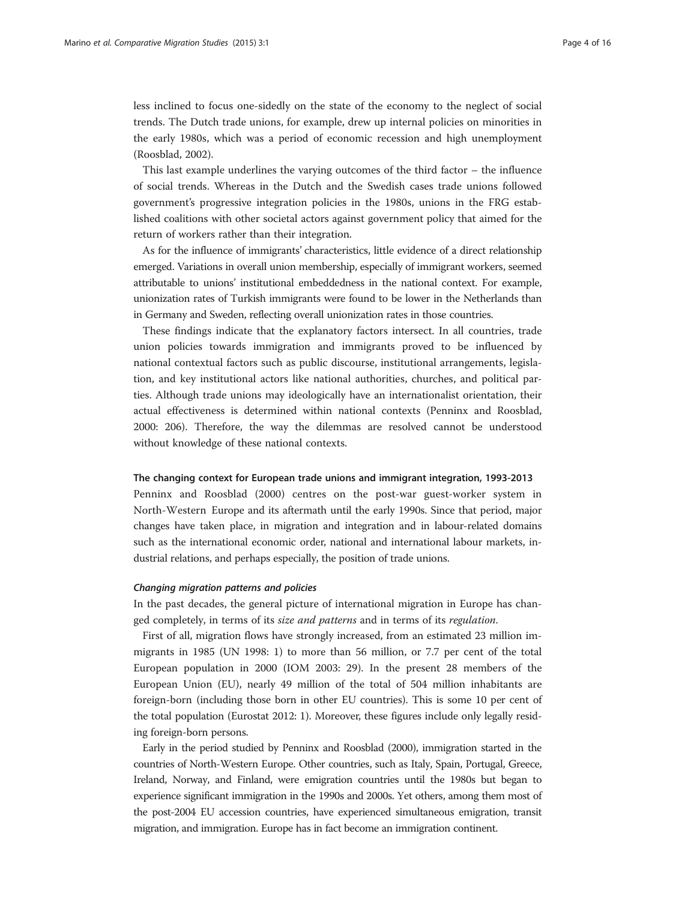less inclined to focus one-sidedly on the state of the economy to the neglect of social trends. The Dutch trade unions, for example, drew up internal policies on minorities in the early 1980s, which was a period of economic recession and high unemployment (Roosblad, [2002\)](#page-16-0).

This last example underlines the varying outcomes of the third factor – the influence of social trends. Whereas in the Dutch and the Swedish cases trade unions followed government's progressive integration policies in the 1980s, unions in the FRG established coalitions with other societal actors against government policy that aimed for the return of workers rather than their integration.

As for the influence of immigrants' characteristics, little evidence of a direct relationship emerged. Variations in overall union membership, especially of immigrant workers, seemed attributable to unions' institutional embeddedness in the national context. For example, unionization rates of Turkish immigrants were found to be lower in the Netherlands than in Germany and Sweden, reflecting overall unionization rates in those countries.

These findings indicate that the explanatory factors intersect. In all countries, trade union policies towards immigration and immigrants proved to be influenced by national contextual factors such as public discourse, institutional arrangements, legislation, and key institutional actors like national authorities, churches, and political parties. Although trade unions may ideologically have an internationalist orientation, their actual effectiveness is determined within national contexts (Penninx and Roosblad, [2000](#page-16-0): 206). Therefore, the way the dilemmas are resolved cannot be understood without knowledge of these national contexts.

#### The changing context for European trade unions and immigrant integration, 1993-2013

Penninx and Roosblad ([2000\)](#page-16-0) centres on the post-war guest-worker system in North-Western Europe and its aftermath until the early 1990s. Since that period, major changes have taken place, in migration and integration and in labour-related domains such as the international economic order, national and international labour markets, industrial relations, and perhaps especially, the position of trade unions.

## Changing migration patterns and policies

In the past decades, the general picture of international migration in Europe has changed completely, in terms of its size and patterns and in terms of its regulation.

First of all, migration flows have strongly increased, from an estimated 23 million immigrants in 1985 (UN [1998:](#page-16-0) 1) to more than 56 million, or 7.7 per cent of the total European population in 2000 (IOM [2003:](#page-15-0) 29). In the present 28 members of the European Union (EU), nearly 49 million of the total of 504 million inhabitants are foreign-born (including those born in other EU countries). This is some 10 per cent of the total population (Eurostat [2012](#page-15-0): 1). Moreover, these figures include only legally residing foreign-born persons.

Early in the period studied by Penninx and Roosblad ([2000\)](#page-16-0), immigration started in the countries of North-Western Europe. Other countries, such as Italy, Spain, Portugal, Greece, Ireland, Norway, and Finland, were emigration countries until the 1980s but began to experience significant immigration in the 1990s and 2000s. Yet others, among them most of the post-2004 EU accession countries, have experienced simultaneous emigration, transit migration, and immigration. Europe has in fact become an immigration continent.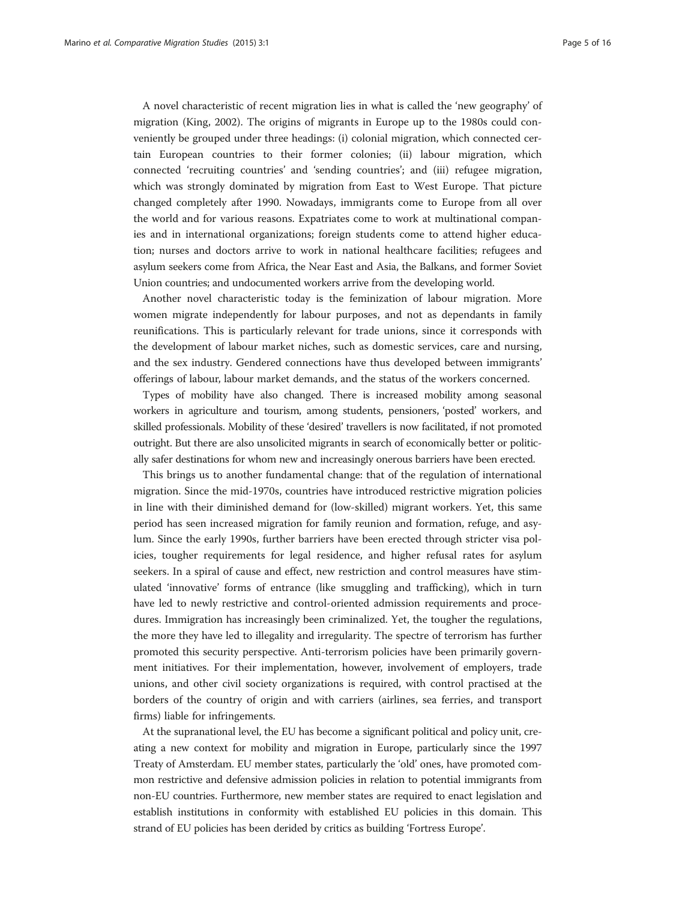A novel characteristic of recent migration lies in what is called the 'new geography' of migration (King, [2002\)](#page-15-0). The origins of migrants in Europe up to the 1980s could conveniently be grouped under three headings: (i) colonial migration, which connected certain European countries to their former colonies; (ii) labour migration, which connected 'recruiting countries' and 'sending countries'; and (iii) refugee migration, which was strongly dominated by migration from East to West Europe. That picture changed completely after 1990. Nowadays, immigrants come to Europe from all over the world and for various reasons. Expatriates come to work at multinational companies and in international organizations; foreign students come to attend higher education; nurses and doctors arrive to work in national healthcare facilities; refugees and asylum seekers come from Africa, the Near East and Asia, the Balkans, and former Soviet Union countries; and undocumented workers arrive from the developing world.

Another novel characteristic today is the feminization of labour migration. More women migrate independently for labour purposes, and not as dependants in family reunifications. This is particularly relevant for trade unions, since it corresponds with the development of labour market niches, such as domestic services, care and nursing, and the sex industry. Gendered connections have thus developed between immigrants' offerings of labour, labour market demands, and the status of the workers concerned.

Types of mobility have also changed. There is increased mobility among seasonal workers in agriculture and tourism, among students, pensioners, 'posted' workers, and skilled professionals. Mobility of these 'desired' travellers is now facilitated, if not promoted outright. But there are also unsolicited migrants in search of economically better or politically safer destinations for whom new and increasingly onerous barriers have been erected.

This brings us to another fundamental change: that of the regulation of international migration. Since the mid-1970s, countries have introduced restrictive migration policies in line with their diminished demand for (low-skilled) migrant workers. Yet, this same period has seen increased migration for family reunion and formation, refuge, and asylum. Since the early 1990s, further barriers have been erected through stricter visa policies, tougher requirements for legal residence, and higher refusal rates for asylum seekers. In a spiral of cause and effect, new restriction and control measures have stimulated 'innovative' forms of entrance (like smuggling and trafficking), which in turn have led to newly restrictive and control-oriented admission requirements and procedures. Immigration has increasingly been criminalized. Yet, the tougher the regulations, the more they have led to illegality and irregularity. The spectre of terrorism has further promoted this security perspective. Anti-terrorism policies have been primarily government initiatives. For their implementation, however, involvement of employers, trade unions, and other civil society organizations is required, with control practised at the borders of the country of origin and with carriers (airlines, sea ferries, and transport firms) liable for infringements.

At the supranational level, the EU has become a significant political and policy unit, creating a new context for mobility and migration in Europe, particularly since the 1997 Treaty of Amsterdam. EU member states, particularly the 'old' ones, have promoted common restrictive and defensive admission policies in relation to potential immigrants from non-EU countries. Furthermore, new member states are required to enact legislation and establish institutions in conformity with established EU policies in this domain. This strand of EU policies has been derided by critics as building 'Fortress Europe'.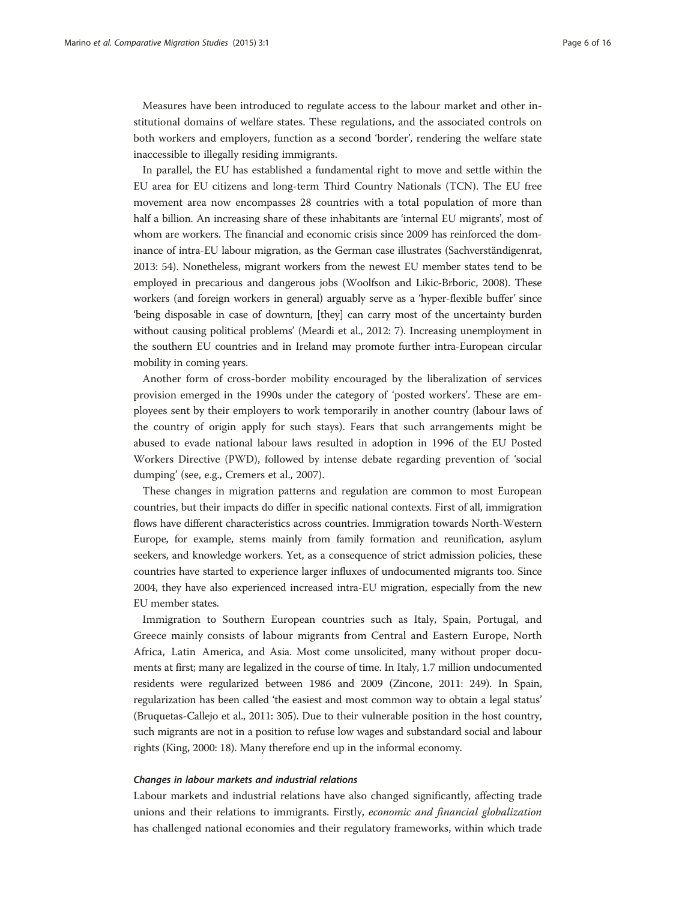Measures have been introduced to regulate access to the labour market and other institutional domains of welfare states. These regulations, and the associated controls on both workers and employers, function as a second 'border', rendering the welfare state inaccessible to illegally residing immigrants.

In parallel, the EU has established a fundamental right to move and settle within the EU area for EU citizens and long-term Third Country Nationals (TCN). The EU free movement area now encompasses 28 countries with a total population of more than half a billion. An increasing share of these inhabitants are 'internal EU migrants', most of whom are workers. The financial and economic crisis since 2009 has reinforced the dominance of intra-EU labour migration, as the German case illustrates (Sachverständigenrat, [2013:](#page-16-0) 54). Nonetheless, migrant workers from the newest EU member states tend to be employed in precarious and dangerous jobs (Woolfson and Likic-Brboric, [2008\)](#page-16-0). These workers (and foreign workers in general) arguably serve as a 'hyper-flexible buffer' since 'being disposable in case of downturn, [they] can carry most of the uncertainty burden without causing political problems' (Meardi et al., [2012](#page-16-0): 7). Increasing unemployment in the southern EU countries and in Ireland may promote further intra-European circular mobility in coming years.

Another form of cross-border mobility encouraged by the liberalization of services provision emerged in the 1990s under the category of 'posted workers'. These are employees sent by their employers to work temporarily in another country (labour laws of the country of origin apply for such stays). Fears that such arrangements might be abused to evade national labour laws resulted in adoption in 1996 of the EU Posted Workers Directive (PWD), followed by intense debate regarding prevention of 'social dumping' (see, e.g., Cremers et al., [2007\)](#page-15-0).

These changes in migration patterns and regulation are common to most European countries, but their impacts do differ in specific national contexts. First of all, immigration flows have different characteristics across countries. Immigration towards North-Western Europe, for example, stems mainly from family formation and reunification, asylum seekers, and knowledge workers. Yet, as a consequence of strict admission policies, these countries have started to experience larger influxes of undocumented migrants too. Since 2004, they have also experienced increased intra-EU migration, especially from the new EU member states.

Immigration to Southern European countries such as Italy, Spain, Portugal, and Greece mainly consists of labour migrants from Central and Eastern Europe, North Africa, Latin America, and Asia. Most come unsolicited, many without proper documents at first; many are legalized in the course of time. In Italy, 1.7 million undocumented residents were regularized between 1986 and 2009 (Zincone, [2011:](#page-16-0) 249). In Spain, regularization has been called 'the easiest and most common way to obtain a legal status' (Bruquetas-Callejo et al., [2011:](#page-14-0) 305). Due to their vulnerable position in the host country, such migrants are not in a position to refuse low wages and substandard social and labour rights (King, [2000](#page-15-0): 18). Many therefore end up in the informal economy.

#### Changes in labour markets and industrial relations

Labour markets and industrial relations have also changed significantly, affecting trade unions and their relations to immigrants. Firstly, economic and financial globalization has challenged national economies and their regulatory frameworks, within which trade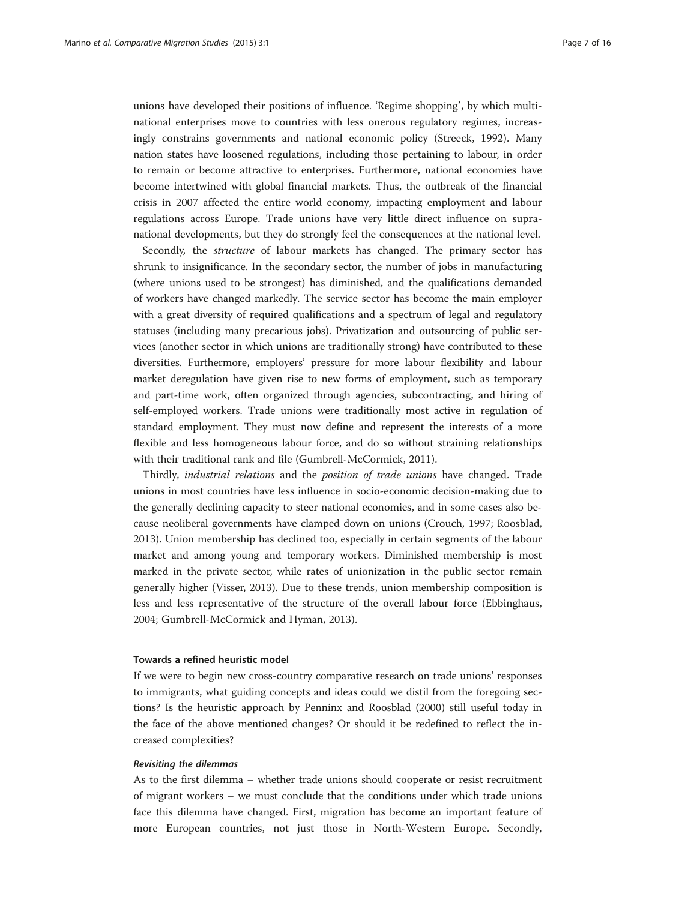unions have developed their positions of influence. 'Regime shopping', by which multinational enterprises move to countries with less onerous regulatory regimes, increasingly constrains governments and national economic policy (Streeck, [1992](#page-16-0)). Many nation states have loosened regulations, including those pertaining to labour, in order to remain or become attractive to enterprises. Furthermore, national economies have become intertwined with global financial markets. Thus, the outbreak of the financial crisis in 2007 affected the entire world economy, impacting employment and labour regulations across Europe. Trade unions have very little direct influence on supranational developments, but they do strongly feel the consequences at the national level.

Secondly, the structure of labour markets has changed. The primary sector has shrunk to insignificance. In the secondary sector, the number of jobs in manufacturing (where unions used to be strongest) has diminished, and the qualifications demanded of workers have changed markedly. The service sector has become the main employer with a great diversity of required qualifications and a spectrum of legal and regulatory statuses (including many precarious jobs). Privatization and outsourcing of public services (another sector in which unions are traditionally strong) have contributed to these diversities. Furthermore, employers' pressure for more labour flexibility and labour market deregulation have given rise to new forms of employment, such as temporary and part-time work, often organized through agencies, subcontracting, and hiring of self-employed workers. Trade unions were traditionally most active in regulation of standard employment. They must now define and represent the interests of a more flexible and less homogeneous labour force, and do so without straining relationships with their traditional rank and file (Gumbrell-McCormick, [2011](#page-15-0)).

Thirdly, industrial relations and the position of trade unions have changed. Trade unions in most countries have less influence in socio-economic decision-making due to the generally declining capacity to steer national economies, and in some cases also because neoliberal governments have clamped down on unions (Crouch, [1997;](#page-15-0) Roosblad, [2013](#page-16-0)). Union membership has declined too, especially in certain segments of the labour market and among young and temporary workers. Diminished membership is most marked in the private sector, while rates of unionization in the public sector remain generally higher (Visser, [2013\)](#page-16-0). Due to these trends, union membership composition is less and less representative of the structure of the overall labour force (Ebbinghaus, [2004](#page-15-0); Gumbrell-McCormick and Hyman, [2013\)](#page-15-0).

### Towards a refined heuristic model

If we were to begin new cross-country comparative research on trade unions' responses to immigrants, what guiding concepts and ideas could we distil from the foregoing sections? Is the heuristic approach by Penninx and Roosblad [\(2000](#page-16-0)) still useful today in the face of the above mentioned changes? Or should it be redefined to reflect the increased complexities?

#### Revisiting the dilemmas

As to the first dilemma – whether trade unions should cooperate or resist recruitment of migrant workers – we must conclude that the conditions under which trade unions face this dilemma have changed. First, migration has become an important feature of more European countries, not just those in North-Western Europe. Secondly,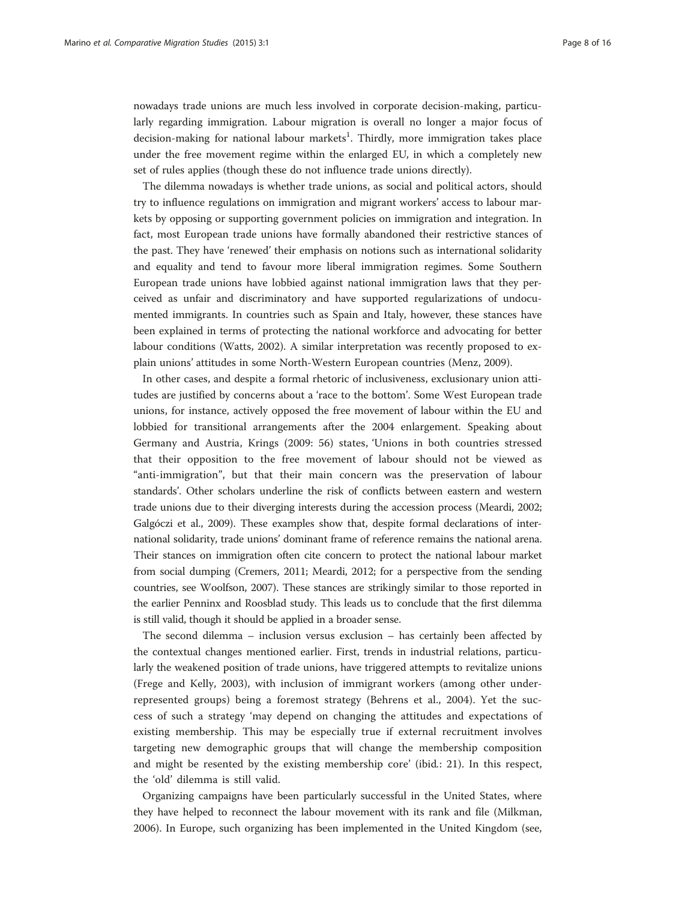nowadays trade unions are much less involved in corporate decision-making, particularly regarding immigration. Labour migration is overall no longer a major focus of decision-making for national labour markets<sup>1</sup>. Thirdly, more immigration takes place under the free movement regime within the enlarged EU, in which a completely new set of rules applies (though these do not influence trade unions directly).

The dilemma nowadays is whether trade unions, as social and political actors, should try to influence regulations on immigration and migrant workers' access to labour markets by opposing or supporting government policies on immigration and integration. In fact, most European trade unions have formally abandoned their restrictive stances of the past. They have 'renewed' their emphasis on notions such as international solidarity and equality and tend to favour more liberal immigration regimes. Some Southern European trade unions have lobbied against national immigration laws that they perceived as unfair and discriminatory and have supported regularizations of undocumented immigrants. In countries such as Spain and Italy, however, these stances have been explained in terms of protecting the national workforce and advocating for better labour conditions (Watts, [2002\)](#page-16-0). A similar interpretation was recently proposed to explain unions' attitudes in some North-Western European countries (Menz, [2009](#page-16-0)).

In other cases, and despite a formal rhetoric of inclusiveness, exclusionary union attitudes are justified by concerns about a 'race to the bottom'. Some West European trade unions, for instance, actively opposed the free movement of labour within the EU and lobbied for transitional arrangements after the 2004 enlargement. Speaking about Germany and Austria, Krings ([2009:](#page-15-0) 56) states, 'Unions in both countries stressed that their opposition to the free movement of labour should not be viewed as "anti-immigration", but that their main concern was the preservation of labour standards'. Other scholars underline the risk of conflicts between eastern and western trade unions due to their diverging interests during the accession process (Meardi, [2002](#page-16-0); Galgóczi et al., [2009](#page-15-0)). These examples show that, despite formal declarations of international solidarity, trade unions' dominant frame of reference remains the national arena. Their stances on immigration often cite concern to protect the national labour market from social dumping (Cremers, [2011](#page-15-0); Meardi, [2012](#page-16-0); for a perspective from the sending countries, see Woolfson, [2007](#page-16-0)). These stances are strikingly similar to those reported in the earlier Penninx and Roosblad study. This leads us to conclude that the first dilemma is still valid, though it should be applied in a broader sense.

The second dilemma – inclusion versus exclusion – has certainly been affected by the contextual changes mentioned earlier. First, trends in industrial relations, particularly the weakened position of trade unions, have triggered attempts to revitalize unions (Frege and Kelly, [2003](#page-15-0)), with inclusion of immigrant workers (among other underrepresented groups) being a foremost strategy (Behrens et al., [2004\)](#page-14-0). Yet the success of such a strategy 'may depend on changing the attitudes and expectations of existing membership. This may be especially true if external recruitment involves targeting new demographic groups that will change the membership composition and might be resented by the existing membership core' (ibid.: 21). In this respect, the 'old' dilemma is still valid.

Organizing campaigns have been particularly successful in the United States, where they have helped to reconnect the labour movement with its rank and file (Milkman, [2006](#page-16-0)). In Europe, such organizing has been implemented in the United Kingdom (see,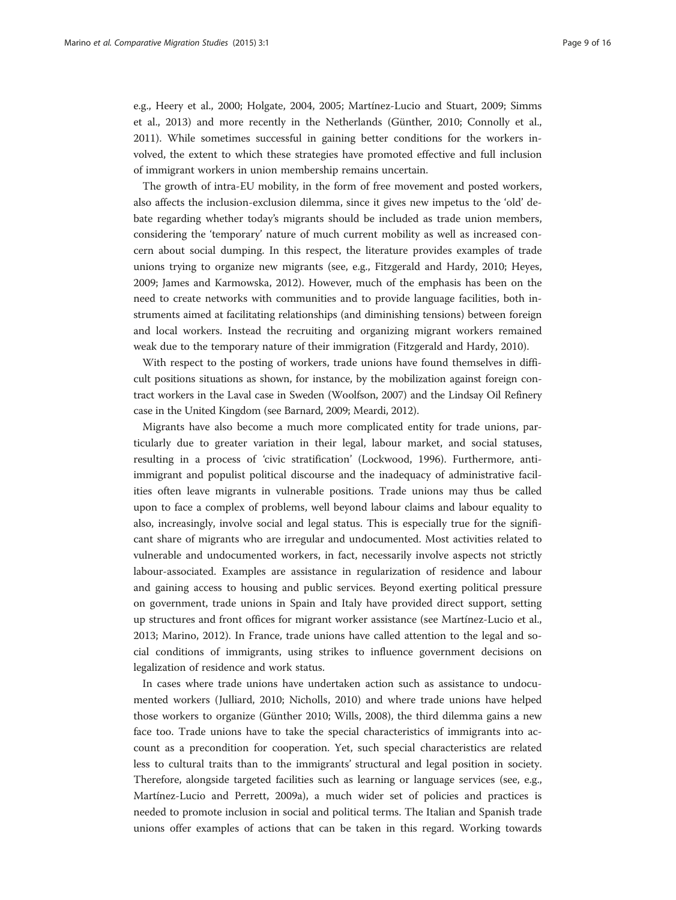e.g., Heery et al., [2000;](#page-15-0) Holgate, [2004](#page-15-0), [2005;](#page-15-0) Martínez-Lucio and Stuart, [2009;](#page-15-0) Simms et al., [2013\)](#page-16-0) and more recently in the Netherlands (Günther, [2010](#page-15-0); Connolly et al., [2011](#page-15-0)). While sometimes successful in gaining better conditions for the workers involved, the extent to which these strategies have promoted effective and full inclusion of immigrant workers in union membership remains uncertain.

The growth of intra-EU mobility, in the form of free movement and posted workers, also affects the inclusion-exclusion dilemma, since it gives new impetus to the 'old' debate regarding whether today's migrants should be included as trade union members, considering the 'temporary' nature of much current mobility as well as increased concern about social dumping. In this respect, the literature provides examples of trade unions trying to organize new migrants (see, e.g., Fitzgerald and Hardy, [2010;](#page-15-0) Heyes, [2009](#page-15-0); James and Karmowska, [2012\)](#page-15-0). However, much of the emphasis has been on the need to create networks with communities and to provide language facilities, both instruments aimed at facilitating relationships (and diminishing tensions) between foreign and local workers. Instead the recruiting and organizing migrant workers remained weak due to the temporary nature of their immigration (Fitzgerald and Hardy, [2010](#page-15-0)).

With respect to the posting of workers, trade unions have found themselves in difficult positions situations as shown, for instance, by the mobilization against foreign contract workers in the Laval case in Sweden (Woolfson, [2007\)](#page-16-0) and the Lindsay Oil Refinery case in the United Kingdom (see Barnard, [2009;](#page-14-0) Meardi, [2012](#page-16-0)).

Migrants have also become a much more complicated entity for trade unions, particularly due to greater variation in their legal, labour market, and social statuses, resulting in a process of 'civic stratification' (Lockwood, [1996](#page-15-0)). Furthermore, antiimmigrant and populist political discourse and the inadequacy of administrative facilities often leave migrants in vulnerable positions. Trade unions may thus be called upon to face a complex of problems, well beyond labour claims and labour equality to also, increasingly, involve social and legal status. This is especially true for the significant share of migrants who are irregular and undocumented. Most activities related to vulnerable and undocumented workers, in fact, necessarily involve aspects not strictly labour-associated. Examples are assistance in regularization of residence and labour and gaining access to housing and public services. Beyond exerting political pressure on government, trade unions in Spain and Italy have provided direct support, setting up structures and front offices for migrant worker assistance (see Martínez-Lucio et al., [2013](#page-16-0); Marino, [2012](#page-15-0)). In France, trade unions have called attention to the legal and social conditions of immigrants, using strikes to influence government decisions on legalization of residence and work status.

In cases where trade unions have undertaken action such as assistance to undocumented workers (Julliard, [2010](#page-15-0); Nicholls, [2010\)](#page-16-0) and where trade unions have helped those workers to organize (Günther [2010](#page-15-0); Wills, [2008\)](#page-16-0), the third dilemma gains a new face too. Trade unions have to take the special characteristics of immigrants into account as a precondition for cooperation. Yet, such special characteristics are related less to cultural traits than to the immigrants' structural and legal position in society. Therefore, alongside targeted facilities such as learning or language services (see, e.g., Martínez-Lucio and Perrett, [2009a\)](#page-15-0), a much wider set of policies and practices is needed to promote inclusion in social and political terms. The Italian and Spanish trade unions offer examples of actions that can be taken in this regard. Working towards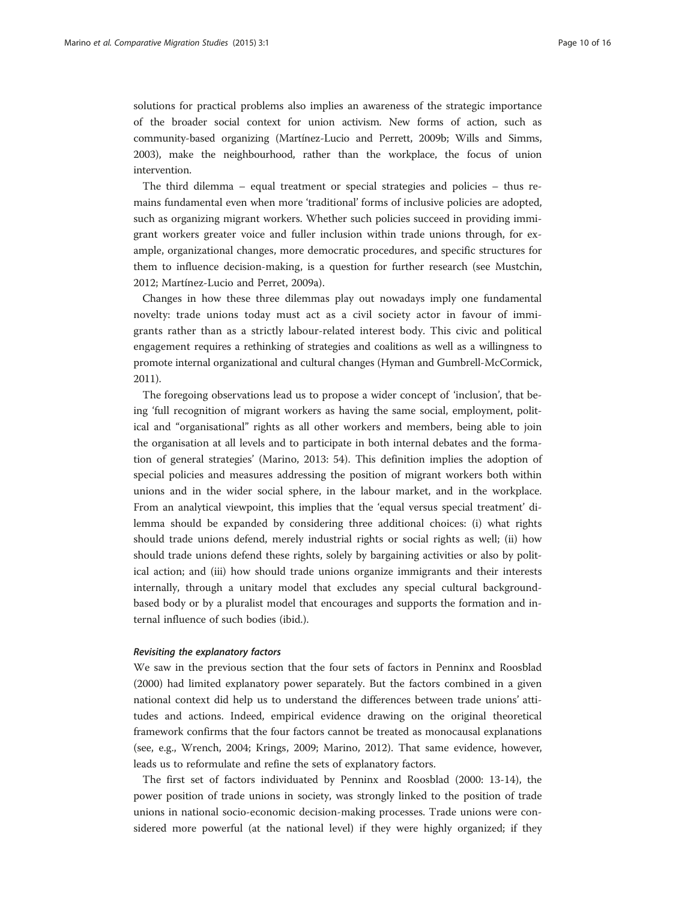solutions for practical problems also implies an awareness of the strategic importance of the broader social context for union activism. New forms of action, such as community-based organizing (Martínez-Lucio and Perrett, [2009b;](#page-15-0) Wills and Simms, [2003\)](#page-16-0), make the neighbourhood, rather than the workplace, the focus of union intervention.

The third dilemma – equal treatment or special strategies and policies – thus remains fundamental even when more 'traditional' forms of inclusive policies are adopted, such as organizing migrant workers. Whether such policies succeed in providing immigrant workers greater voice and fuller inclusion within trade unions through, for example, organizational changes, more democratic procedures, and specific structures for them to influence decision-making, is a question for further research (see Mustchin, [2012](#page-16-0); Martínez-Lucio and Perret, [2009a\)](#page-15-0).

Changes in how these three dilemmas play out nowadays imply one fundamental novelty: trade unions today must act as a civil society actor in favour of immigrants rather than as a strictly labour-related interest body. This civic and political engagement requires a rethinking of strategies and coalitions as well as a willingness to promote internal organizational and cultural changes (Hyman and Gumbrell-McCormick, [2011\)](#page-15-0).

The foregoing observations lead us to propose a wider concept of 'inclusion', that being 'full recognition of migrant workers as having the same social, employment, political and "organisational" rights as all other workers and members, being able to join the organisation at all levels and to participate in both internal debates and the formation of general strategies' (Marino, [2013](#page-15-0): 54). This definition implies the adoption of special policies and measures addressing the position of migrant workers both within unions and in the wider social sphere, in the labour market, and in the workplace. From an analytical viewpoint, this implies that the 'equal versus special treatment' dilemma should be expanded by considering three additional choices: (i) what rights should trade unions defend, merely industrial rights or social rights as well; (ii) how should trade unions defend these rights, solely by bargaining activities or also by political action; and (iii) how should trade unions organize immigrants and their interests internally, through a unitary model that excludes any special cultural backgroundbased body or by a pluralist model that encourages and supports the formation and internal influence of such bodies (ibid.).

#### Revisiting the explanatory factors

We saw in the previous section that the four sets of factors in Penninx and Roosblad ([2000](#page-16-0)) had limited explanatory power separately. But the factors combined in a given national context did help us to understand the differences between trade unions' attitudes and actions. Indeed, empirical evidence drawing on the original theoretical framework confirms that the four factors cannot be treated as monocausal explanations (see, e.g., Wrench, [2004;](#page-16-0) Krings, [2009;](#page-15-0) Marino, [2012](#page-15-0)). That same evidence, however, leads us to reformulate and refine the sets of explanatory factors.

The first set of factors individuated by Penninx and Roosblad [\(2000:](#page-16-0) 13-14), the power position of trade unions in society, was strongly linked to the position of trade unions in national socio-economic decision-making processes. Trade unions were considered more powerful (at the national level) if they were highly organized; if they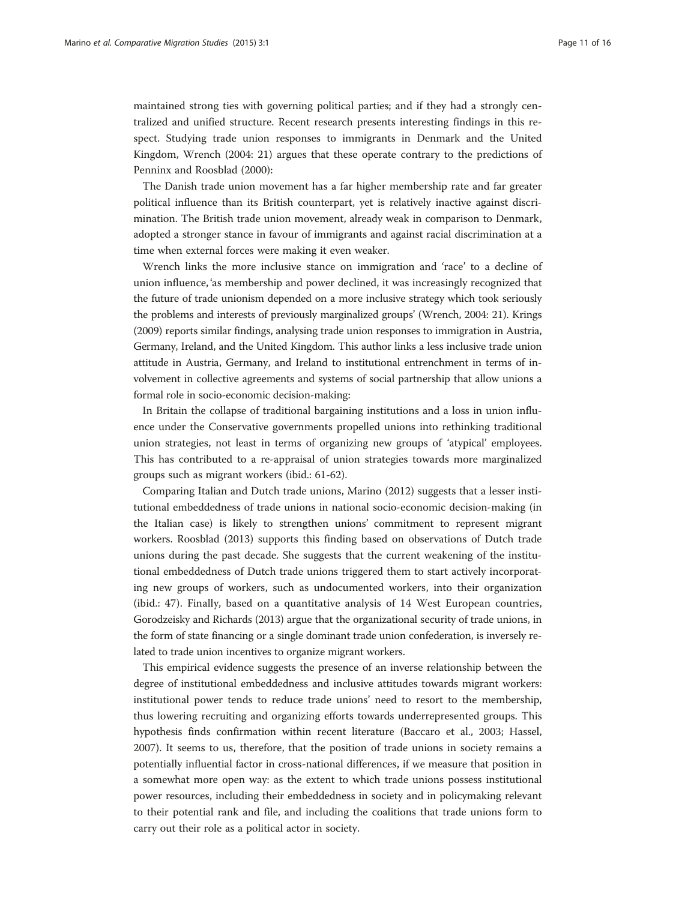maintained strong ties with governing political parties; and if they had a strongly centralized and unified structure. Recent research presents interesting findings in this respect. Studying trade union responses to immigrants in Denmark and the United Kingdom, Wrench ([2004](#page-16-0): 21) argues that these operate contrary to the predictions of Penninx and Roosblad ([2000](#page-16-0)):

The Danish trade union movement has a far higher membership rate and far greater political influence than its British counterpart, yet is relatively inactive against discrimination. The British trade union movement, already weak in comparison to Denmark, adopted a stronger stance in favour of immigrants and against racial discrimination at a time when external forces were making it even weaker.

Wrench links the more inclusive stance on immigration and 'race' to a decline of union influence, 'as membership and power declined, it was increasingly recognized that the future of trade unionism depended on a more inclusive strategy which took seriously the problems and interests of previously marginalized groups' (Wrench, [2004:](#page-16-0) 21). Krings ([2009\)](#page-15-0) reports similar findings, analysing trade union responses to immigration in Austria, Germany, Ireland, and the United Kingdom. This author links a less inclusive trade union attitude in Austria, Germany, and Ireland to institutional entrenchment in terms of involvement in collective agreements and systems of social partnership that allow unions a formal role in socio-economic decision-making:

In Britain the collapse of traditional bargaining institutions and a loss in union influence under the Conservative governments propelled unions into rethinking traditional union strategies, not least in terms of organizing new groups of 'atypical' employees. This has contributed to a re-appraisal of union strategies towards more marginalized groups such as migrant workers (ibid.: 61-62).

Comparing Italian and Dutch trade unions, Marino [\(2012](#page-15-0)) suggests that a lesser institutional embeddedness of trade unions in national socio-economic decision-making (in the Italian case) is likely to strengthen unions' commitment to represent migrant workers. Roosblad ([2013](#page-16-0)) supports this finding based on observations of Dutch trade unions during the past decade. She suggests that the current weakening of the institutional embeddedness of Dutch trade unions triggered them to start actively incorporating new groups of workers, such as undocumented workers, into their organization (ibid.: 47). Finally, based on a quantitative analysis of 14 West European countries, Gorodzeisky and Richards ([2013](#page-15-0)) argue that the organizational security of trade unions, in the form of state financing or a single dominant trade union confederation, is inversely related to trade union incentives to organize migrant workers.

This empirical evidence suggests the presence of an inverse relationship between the degree of institutional embeddedness and inclusive attitudes towards migrant workers: institutional power tends to reduce trade unions' need to resort to the membership, thus lowering recruiting and organizing efforts towards underrepresented groups. This hypothesis finds confirmation within recent literature (Baccaro et al., [2003;](#page-14-0) Hassel, [2007](#page-15-0)). It seems to us, therefore, that the position of trade unions in society remains a potentially influential factor in cross-national differences, if we measure that position in a somewhat more open way: as the extent to which trade unions possess institutional power resources, including their embeddedness in society and in policymaking relevant to their potential rank and file, and including the coalitions that trade unions form to carry out their role as a political actor in society.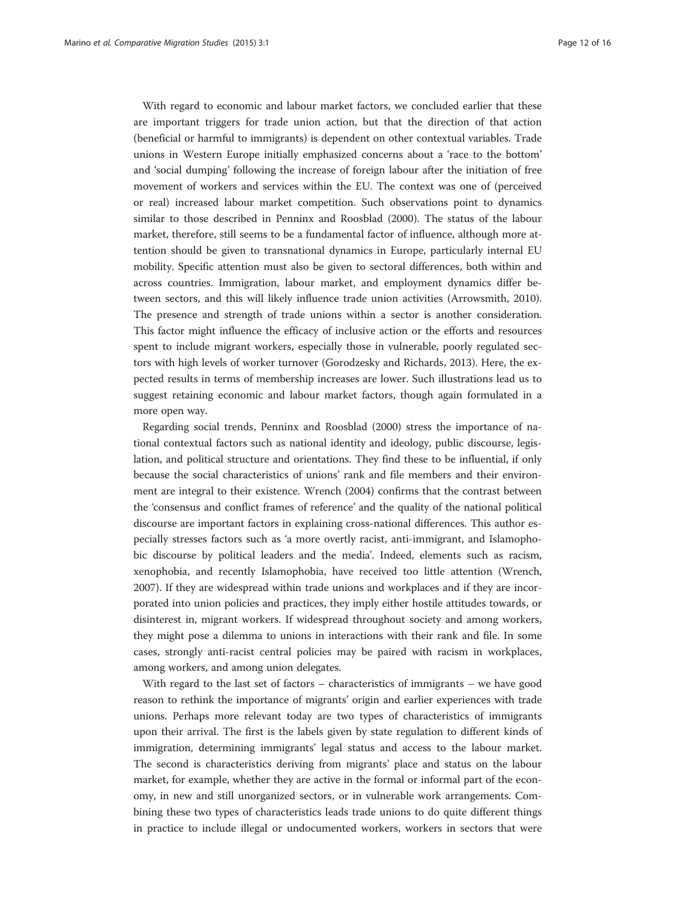With regard to economic and labour market factors, we concluded earlier that these are important triggers for trade union action, but that the direction of that action (beneficial or harmful to immigrants) is dependent on other contextual variables. Trade unions in Western Europe initially emphasized concerns about a 'race to the bottom' and 'social dumping' following the increase of foreign labour after the initiation of free movement of workers and services within the EU. The context was one of (perceived or real) increased labour market competition. Such observations point to dynamics similar to those described in Penninx and Roosblad ([2000](#page-16-0)). The status of the labour market, therefore, still seems to be a fundamental factor of influence, although more attention should be given to transnational dynamics in Europe, particularly internal EU mobility. Specific attention must also be given to sectoral differences, both within and across countries. Immigration, labour market, and employment dynamics differ between sectors, and this will likely influence trade union activities (Arrowsmith, [2010](#page-14-0)). The presence and strength of trade unions within a sector is another consideration. This factor might influence the efficacy of inclusive action or the efforts and resources spent to include migrant workers, especially those in vulnerable, poorly regulated sectors with high levels of worker turnover (Gorodzesky and Richards, [2013\)](#page-15-0). Here, the expected results in terms of membership increases are lower. Such illustrations lead us to suggest retaining economic and labour market factors, though again formulated in a more open way.

Regarding social trends, Penninx and Roosblad [\(2000\)](#page-16-0) stress the importance of national contextual factors such as national identity and ideology, public discourse, legislation, and political structure and orientations. They find these to be influential, if only because the social characteristics of unions' rank and file members and their environment are integral to their existence. Wrench [\(2004\)](#page-16-0) confirms that the contrast between the 'consensus and conflict frames of reference' and the quality of the national political discourse are important factors in explaining cross-national differences. This author especially stresses factors such as 'a more overtly racist, anti-immigrant, and Islamophobic discourse by political leaders and the media'. Indeed, elements such as racism, xenophobia, and recently Islamophobia, have received too little attention (Wrench, [2007](#page-16-0)). If they are widespread within trade unions and workplaces and if they are incorporated into union policies and practices, they imply either hostile attitudes towards, or disinterest in, migrant workers. If widespread throughout society and among workers, they might pose a dilemma to unions in interactions with their rank and file. In some cases, strongly anti-racist central policies may be paired with racism in workplaces, among workers, and among union delegates.

With regard to the last set of factors – characteristics of immigrants – we have good reason to rethink the importance of migrants' origin and earlier experiences with trade unions. Perhaps more relevant today are two types of characteristics of immigrants upon their arrival. The first is the labels given by state regulation to different kinds of immigration, determining immigrants' legal status and access to the labour market. The second is characteristics deriving from migrants' place and status on the labour market, for example, whether they are active in the formal or informal part of the economy, in new and still unorganized sectors, or in vulnerable work arrangements. Combining these two types of characteristics leads trade unions to do quite different things in practice to include illegal or undocumented workers, workers in sectors that were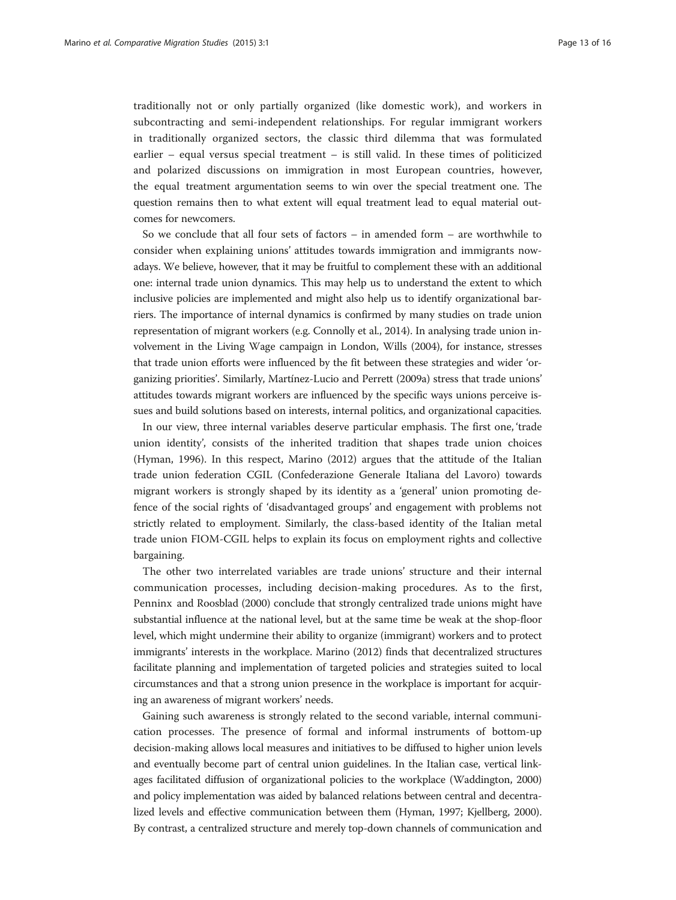traditionally not or only partially organized (like domestic work), and workers in subcontracting and semi-independent relationships. For regular immigrant workers in traditionally organized sectors, the classic third dilemma that was formulated earlier – equal versus special treatment – is still valid. In these times of politicized and polarized discussions on immigration in most European countries, however, the equal treatment argumentation seems to win over the special treatment one. The question remains then to what extent will equal treatment lead to equal material outcomes for newcomers.

So we conclude that all four sets of factors – in amended form – are worthwhile to consider when explaining unions' attitudes towards immigration and immigrants nowadays. We believe, however, that it may be fruitful to complement these with an additional one: internal trade union dynamics. This may help us to understand the extent to which inclusive policies are implemented and might also help us to identify organizational barriers. The importance of internal dynamics is confirmed by many studies on trade union representation of migrant workers (e.g. Connolly et al., [2014](#page-15-0)). In analysing trade union involvement in the Living Wage campaign in London, Wills [\(2004\)](#page-16-0), for instance, stresses that trade union efforts were influenced by the fit between these strategies and wider 'organizing priorities'. Similarly, Martínez-Lucio and Perrett [\(2009a](#page-15-0)) stress that trade unions' attitudes towards migrant workers are influenced by the specific ways unions perceive issues and build solutions based on interests, internal politics, and organizational capacities.

In our view, three internal variables deserve particular emphasis. The first one, 'trade union identity', consists of the inherited tradition that shapes trade union choices (Hyman, [1996\)](#page-15-0). In this respect, Marino ([2012](#page-15-0)) argues that the attitude of the Italian trade union federation CGIL (Confederazione Generale Italiana del Lavoro) towards migrant workers is strongly shaped by its identity as a 'general' union promoting defence of the social rights of 'disadvantaged groups' and engagement with problems not strictly related to employment. Similarly, the class-based identity of the Italian metal trade union FIOM-CGIL helps to explain its focus on employment rights and collective bargaining.

The other two interrelated variables are trade unions' structure and their internal communication processes, including decision-making procedures. As to the first, Penninx and Roosblad [\(2000](#page-16-0)) conclude that strongly centralized trade unions might have substantial influence at the national level, but at the same time be weak at the shop-floor level, which might undermine their ability to organize (immigrant) workers and to protect immigrants' interests in the workplace. Marino [\(2012\)](#page-15-0) finds that decentralized structures facilitate planning and implementation of targeted policies and strategies suited to local circumstances and that a strong union presence in the workplace is important for acquiring an awareness of migrant workers' needs.

Gaining such awareness is strongly related to the second variable, internal communication processes. The presence of formal and informal instruments of bottom-up decision-making allows local measures and initiatives to be diffused to higher union levels and eventually become part of central union guidelines. In the Italian case, vertical linkages facilitated diffusion of organizational policies to the workplace (Waddington, [2000](#page-16-0)) and policy implementation was aided by balanced relations between central and decentralized levels and effective communication between them (Hyman, [1997;](#page-15-0) Kjellberg, [2000](#page-15-0)). By contrast, a centralized structure and merely top-down channels of communication and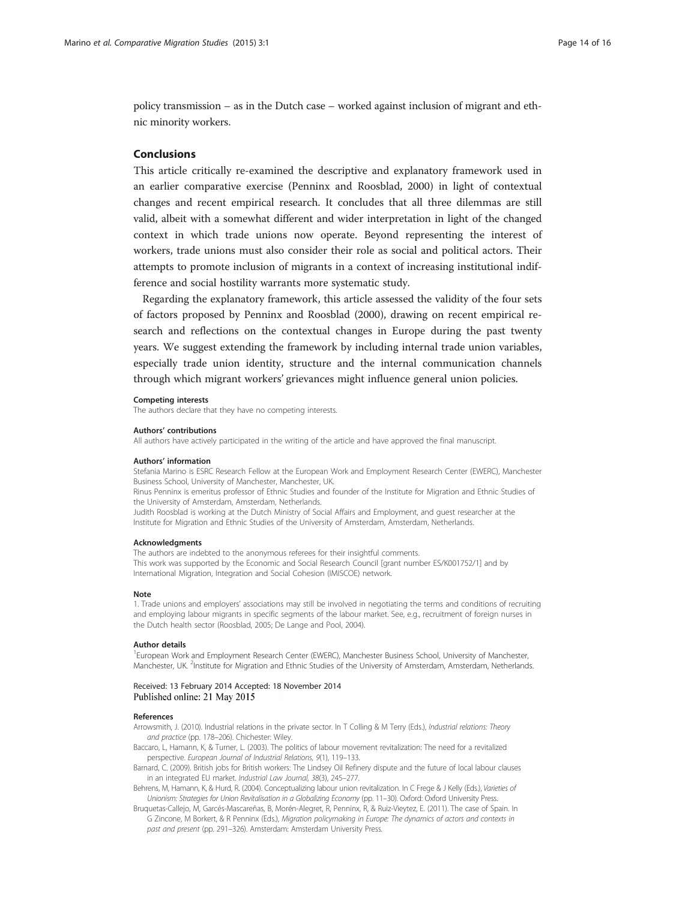<span id="page-14-0"></span>policy transmission – as in the Dutch case – worked against inclusion of migrant and ethnic minority workers.

## Conclusions

This article critically re-examined the descriptive and explanatory framework used in an earlier comparative exercise (Penninx and Roosblad, [2000\)](#page-16-0) in light of contextual changes and recent empirical research. It concludes that all three dilemmas are still valid, albeit with a somewhat different and wider interpretation in light of the changed context in which trade unions now operate. Beyond representing the interest of workers, trade unions must also consider their role as social and political actors. Their attempts to promote inclusion of migrants in a context of increasing institutional indifference and social hostility warrants more systematic study.

Regarding the explanatory framework, this article assessed the validity of the four sets of factors proposed by Penninx and Roosblad [\(2000](#page-16-0)), drawing on recent empirical research and reflections on the contextual changes in Europe during the past twenty years. We suggest extending the framework by including internal trade union variables, especially trade union identity, structure and the internal communication channels through which migrant workers' grievances might influence general union policies.

#### Competing interests

The authors declare that they have no competing interests.

#### Authors' contributions

All authors have actively participated in the writing of the article and have approved the final manuscript.

#### Authors' information

Stefania Marino is ESRC Research Fellow at the European Work and Employment Research Center (EWERC), Manchester Business School, University of Manchester, Manchester, UK.

Rinus Penninx is emeritus professor of Ethnic Studies and founder of the Institute for Migration and Ethnic Studies of the University of Amsterdam, Amsterdam, Netherlands.

Judith Roosblad is working at the Dutch Ministry of Social Affairs and Employment, and guest researcher at the Institute for Migration and Ethnic Studies of the University of Amsterdam, Amsterdam, Netherlands.

#### Acknowledgments

The authors are indebted to the anonymous referees for their insightful comments. This work was supported by the Economic and Social Research Council [grant number ES/K001752/1] and by International Migration, Integration and Social Cohesion (IMISCOE) network.

#### Note

1. Trade unions and employers' associations may still be involved in negotiating the terms and conditions of recruiting and employing labour migrants in specific segments of the labour market. See, e.g., recruitment of foreign nurses in the Dutch health sector (Roosblad, [2005;](#page-16-0) De Lange and Pool, [2004\)](#page-15-0).

#### Author details

<sup>1</sup> European Work and Employment Research Center (EWERC), Manchester Business School, University of Manchester, Manchester, UK. <sup>2</sup>Institute for Migration and Ethnic Studies of the University of Amsterdam, Amsterdam, Netherlands

#### Received: 13 February 2014 Accepted: 18 November 2014 Published online: 21 May 2015

#### References

Arrowsmith, J. (2010). Industrial relations in the private sector. In T Colling & M Terry (Eds.), Industrial relations: Theory and practice (pp. 178–206). Chichester: Wiley.

- Baccaro, L, Hamann, K, & Turner, L. (2003). The politics of labour movement revitalization: The need for a revitalized perspective. European Journal of Industrial Relations, 9(1), 119–133.
- Barnard, C. (2009). British jobs for British workers: The Lindsey Oil Refinery dispute and the future of local labour clauses in an integrated EU market. Industrial Law Journal, 38(3), 245–277.
- Behrens, M, Hamann, K, & Hurd, R. (2004). Conceptualizing labour union revitalization. In C Frege & J Kelly (Eds.), Varieties of Unionism: Strategies for Union Revitalisation in a Globalizing Economy (pp. 11–30). Oxford: Oxford University Press.
- Bruquetas-Callejo, M, Garcés-Mascareñas, B, Morén-Alegret, R, Penninx, R, & Ruiz-Vieytez, E. (2011). The case of Spain. In G Zincone, M Borkert, & R Penninx (Eds.), Migration policymaking in Europe: The dynamics of actors and contexts in past and present (pp. 291–326). Amsterdam: Amsterdam University Press.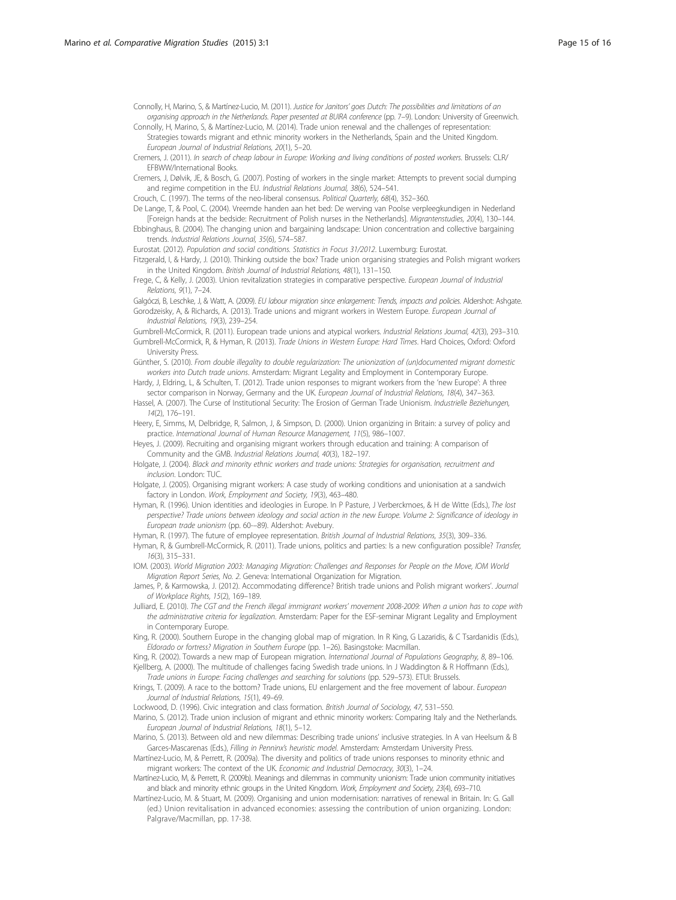<span id="page-15-0"></span>Connolly, H, Marino, S, & Martínez-Lucio, M. (2011). Justice for Janitors' goes Dutch: The possibilities and limitations of an organising approach in the Netherlands. Paper presented at BUIRA conference (pp. 7–9). London: University of Greenwich.

Connolly, H, Marino, S, & Martínez-Lucio, M. (2014). Trade union renewal and the challenges of representation: Strategies towards migrant and ethnic minority workers in the Netherlands, Spain and the United Kingdom. European Journal of Industrial Relations, 20(1), 5–20.

Cremers, J. (2011). In search of cheap labour in Europe: Working and living conditions of posted workers. Brussels: CLR/ EFBWW/International Books.

Cremers, J, Dølvik, JE, & Bosch, G. (2007). Posting of workers in the single market: Attempts to prevent social dumping and regime competition in the EU. Industrial Relations Journal, 38(6), 524–541.

Crouch, C. (1997). The terms of the neo-liberal consensus. Political Quarterly, 68(4), 352–360.

De Lange, T, & Pool, C. (2004). Vreemde handen aan het bed: De werving van Poolse verpleegkundigen in Nederland [Foreign hands at the bedside: Recruitment of Polish nurses in the Netherlands]. Migrantenstudies, 20(4), 130–144.

Ebbinghaus, B. (2004). The changing union and bargaining landscape: Union concentration and collective bargaining trends. Industrial Relations Journal, 35(6), 574–587.

Eurostat. (2012). Population and social conditions. Statistics in Focus 31/2012. Luxemburg: Eurostat.

Fitzgerald, I, & Hardy, J. (2010). Thinking outside the box? Trade union organising strategies and Polish migrant workers in the United Kingdom. British Journal of Industrial Relations, 48(1), 131–150.

Frege, C, & Kelly, J. (2003). Union revitalization strategies in comparative perspective. European Journal of Industrial Relations, 9(1), 7–24.

Galgóczi, B, Leschke, J, & Watt, A. (2009). EU labour migration since enlargement: Trends, impacts and policies. Aldershot: Ashgate. Gorodzeisky, A, & Richards, A. (2013). Trade unions and migrant workers in Western Europe. European Journal of Industrial Relations, 19(3), 239–254.

Gumbrell-McCormick, R. (2011). European trade unions and atypical workers. Industrial Relations Journal, 42(3), 293–310. Gumbrell-McCormick, R, & Hyman, R. (2013). Trade Unions in Western Europe: Hard Times. Hard Choices, Oxford: Oxford University Press.

Günther, S. (2010). From double illegality to double regularization: The unionization of (un)documented migrant domestic workers into Dutch trade unions. Amsterdam: Migrant Legality and Employment in Contemporary Europe.

Hardy, J, Eldring, L, & Schulten, T. (2012). Trade union responses to migrant workers from the 'new Europe': A three sector comparison in Norway, Germany and the UK. European Journal of Industrial Relations, 18(4), 347-363.

Hassel, A. (2007). The Curse of Institutional Security: The Erosion of German Trade Unionism. Industrielle Beziehungen, 14(2), 176–191.

Heery, E, Simms, M, Delbridge, R, Salmon, J, & Simpson, D. (2000). Union organizing in Britain: a survey of policy and practice. International Journal of Human Resource Management, 11(5), 986–1007.

Heyes, J. (2009). Recruiting and organising migrant workers through education and training: A comparison of Community and the GMB. Industrial Relations Journal, 40(3), 182–197.

Holgate, J. (2004). Black and minority ethnic workers and trade unions: Strategies for organisation, recruitment and inclusion. London: TUC.

Holgate, J. (2005). Organising migrant workers: A case study of working conditions and unionisation at a sandwich factory in London. Work, Employment and Society, 19(3), 463–480.

Hyman, R. (1996). Union identities and ideologies in Europe. In P Pasture, J Verberckmoes, & H de Witte (Eds.), The lost perspective? Trade unions between ideology and social action in the new Europe. Volume 2: Significance of ideology in European trade unionism (pp. 60-–89). Aldershot: Avebury.

Hyman, R. (1997). The future of employee representation. British Journal of Industrial Relations, 35(3), 309–336.

Hyman, R, & Gumbrell-McCormick, R. (2011). Trade unions, politics and parties: Is a new configuration possible? Transfer, 16(3), 315–331.

IOM. (2003). World Migration 2003: Managing Migration: Challenges and Responses for People on the Move, IOM World Migration Report Series, No. 2. Geneva: International Organization for Migration.

James, P, & Karmowska, J. (2012). Accommodating difference? British trade unions and Polish migrant workers'. Journal of Workplace Rights, 15(2), 169–189.

Julliard, E. (2010). The CGT and the French illegal immigrant workers' movement 2008-2009: When a union has to cope with the administrative criteria for legalization. Amsterdam: Paper for the ESF-seminar Migrant Legality and Employment in Contemporary Europe.

King, R. (2000). Southern Europe in the changing global map of migration. In R King, G Lazaridis, & C Tsardanidis (Eds.), Eldorado or fortress? Migration in Southern Europe (pp. 1–26). Basingstoke: Macmillan.

King, R. (2002). Towards a new map of European migration. International Journal of Populations Geography, 8, 89-106. Kjellberg, A. (2000). The multitude of challenges facing Swedish trade unions. In J Waddington & R Hoffmann (Eds.),

Trade unions in Europe: Facing challenges and searching for solutions (pp. 529–573). ETUI: Brussels. Krings, T. (2009). A race to the bottom? Trade unions, EU enlargement and the free movement of labour. European

Journal of Industrial Relations, 15(1), 49–69.

Lockwood, D. (1996). Civic integration and class formation. British Journal of Sociology, 47, 531–550.

Marino, S. (2012). Trade union inclusion of migrant and ethnic minority workers: Comparing Italy and the Netherlands. European Journal of Industrial Relations, 18(1), 5–12.

Marino, S. (2013). Between old and new dilemmas: Describing trade unions' inclusive strategies. In A van Heelsum & B Garces-Mascarenas (Eds.), Filling in Penninx's heuristic model. Amsterdam: Amsterdam University Press.

Martínez-Lucio, M, & Perrett, R. (2009a). The diversity and politics of trade unions responses to minority ethnic and migrant workers: The context of the UK. Economic and Industrial Democracy, 30(3), 1–24.

Martínez-Lucio, M, & Perrett, R. (2009b). Meanings and dilemmas in community unionism: Trade union community initiatives and black and minority ethnic groups in the United Kingdom. Work, Employment and Society, 23(4), 693–710.

Martínez-Lucio, M. & Stuart, M. (2009). Organising and union modernisation: narratives of renewal in Britain. In: G. Gall (ed.) Union revitalisation in advanced economies: assessing the contribution of union organizing. London: Palgrave/Macmillan, pp. 17-38.